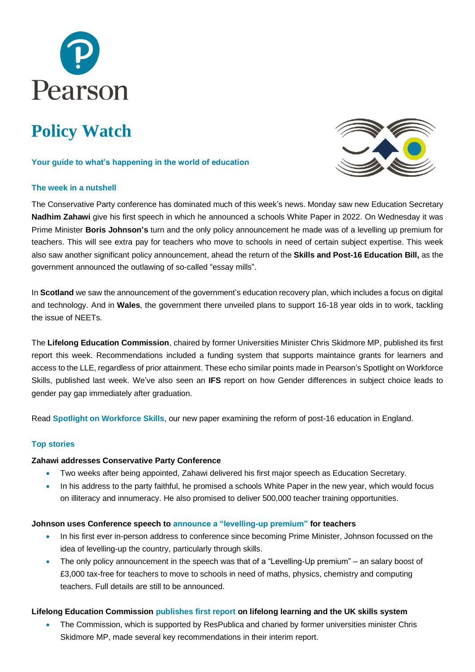

# **Policy Watch**

#### **Your guide to what's happening in the world of education**

# **The week in a nutshell**



The Conservative Party conference has dominated much of this week's news. Monday saw new Education Secretary **Nadhim Zahawi** give his first speech in which he announced a schools White Paper in 2022. On Wednesday it was Prime Minister **Boris Johnson's** turn and the only policy announcement he made was of a levelling up premium for teachers. This will see extra pay for teachers who move to schools in need of certain subject expertise. This week also saw another significant policy announcement, ahead the return of the **Skills and Post-16 Education Bill,** as the government announced the outlawing of so-called "essay mills".

In **Scotland** we saw the announcement of the government's education recovery plan, which includes a focus on digital and technology. And in **Wales**, the government there unveiled plans to support 16-18 year olds in to work, tackling the issue of NEETs.

The **Lifelong Education Commission**, chaired by former Universities Minister Chris Skidmore MP, published its first report this week. Recommendations included a funding system that supports maintaince grants for learners and access to the LLE, regardless of prior attainment. These echo similar points made in Pearson's Spotlight on Workforce Skills, published last week. We've also seen an **IFS** report on how Gender differences in subject choice leads to gender pay gap immediately after graduation.

Read **[Spotlight on Workforce Skills](https://www.pearson.com/uk/news-and-policy/spotlight/workforce-skills.html)**, our new paper examining the reform of post-16 education in England.

#### **Top stories**

#### **Zahawi addresses Conservative Party Conference**

- Two weeks after being appointed, Zahawi delivered his first major speech as Education Secretary.
- In his address to the party faithful, he promised a schools White Paper in the new year, which would focus on illiteracy and innumeracy. He also promised to deliver 500,000 teacher training opportunities.

#### **Johnson uses Conference speech to [announce a "levelling-up premium"](https://www.gov.uk/government/news/salary-boosts-for-new-maths-science-and-computing-teachers?utm_medium=email&utm_campaign=govuk-notifications&utm_source=ab3255b7-f290-4553-be72-a7c89aafb3ea&utm_content=immediately) for teachers**

- In his first ever in-person address to conference since becoming Prime Minister, Johnson focussed on the idea of levelling-up the country, particularly through skills.
- The only policy announcement in the speech was that of a "Levelling-Up premium" an salary boost of £3,000 tax-free for teachers to move to schools in need of maths, physics, chemistry and computing teachers. Full details are still to be announced.

# **Lifelong Education Commission [publishes first report](https://0b3b9a1e-b06e-45b9-920b-ee850e3b1d47.filesusr.com/ugd/5e41e6_68cd7840181c46a38effa7e731e5f016.pdf) on lifelong learning and the UK skills system**

• The Commission, which is supported by ResPublica and charied by former universities minister Chris Skidmore MP, made several key recommendations in their interim report.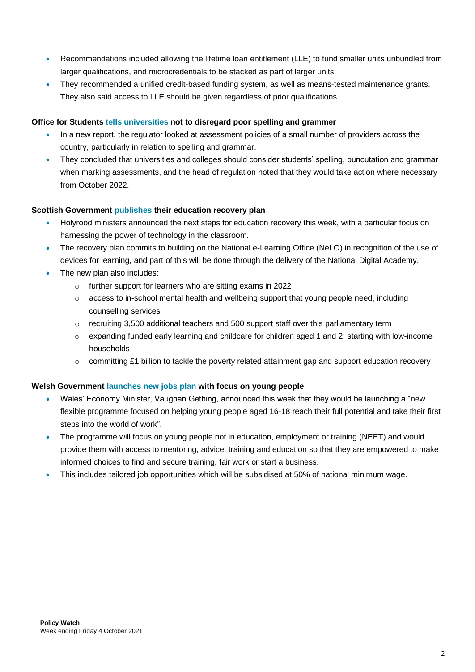- Recommendations included allowing the lifetime loan entitlement (LLE) to fund smaller units unbundled from larger qualifications, and microcredentials to be stacked as part of larger units.
- They recommended a unified credit-based funding system, as well as means-tested maintenance grants. They also said access to LLE should be given regardless of prior qualifications.

# **Office for Students tells [universities](https://www.officeforstudents.org.uk/news-blog-and-events/press-and-media/universities-must-not-disregard-poor-spelling-and-grammar-ofs/) not to disregard poor spelling and grammer**

- In a new report, the regulator looked at assessment policies of a small number of providers across the country, particularly in relation to spelling and grammar.
- They concluded that universities and colleges should consider students' spelling, puncutation and grammar when marking assessments, and the head of regulation noted that they would take action where necessary from October 2022.

# **Scottish Government [publishes](https://www.gov.scot/news/education-recovery/) their education recovery plan**

- Holyrood ministers announced the next steps for education recovery this week, with a particular focus on harnessing the power of technology in the classroom.
- The recovery plan commits to building on the National e-Learning Office (NeLO) in recognition of the use of devices for learning, and part of this will be done through the delivery of the National Digital Academy.
- The new plan also includes:
	- o further support for learners who are sitting exams in 2022
	- $\circ$  access to in-school mental health and wellbeing support that young people need, including counselling services
	- $\circ$  recruiting 3,500 additional teachers and 500 support staff over this parliamentary term
	- $\circ$  expanding funded early learning and childcare for children aged 1 and 2, starting with low-income households
	- $\circ$  committing £1 billion to tackle the poverty related attainment gap and support education recovery

# **Welsh Governmen[t launches new jobs plan](https://gov.wales/new-jobs-programme-create-life-changing-opportunities-16-18-year-olds-wales) with focus on young people**

- Wales' Economy Minister, Vaughan Gething, announced this week that they would be launching a "new flexible programme focused on helping young people aged 16-18 reach their full potential and take their first steps into the world of work".
- The programme will focus on young people not in education, employment or training (NEET) and would provide them with access to mentoring, advice, training and education so that they are empowered to make informed choices to find and secure training, fair work or start a business.
- This includes tailored job opportunities which will be subsidised at 50% of national minimum wage.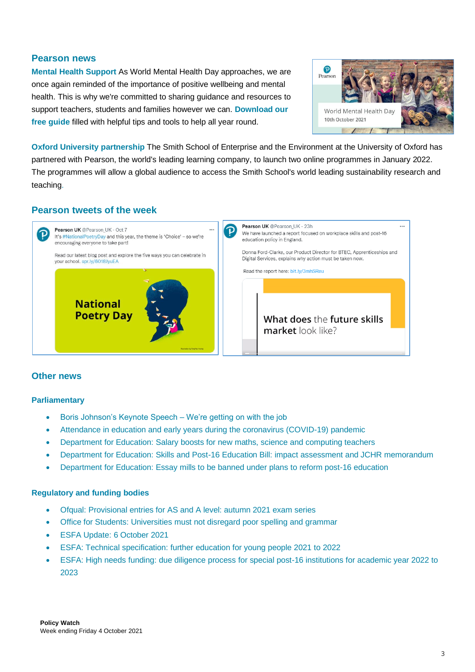# **Pearson news**

**[Mental Health Support](https://nam02.safelinks.protection.outlook.com/?url=https%3A%2F%2Fwww.pearson.com%2Fcontent%2Fdam%2Fone-dot-com%2Fone-dot-com%2Fuk%2Fdocuments%2Feducator%2Fschools%2Fissues%2Fwellbeing%2Fmental-health-uks-brand-and-clinical-ipdf-p3.pdf%3Futm_source%3DPolicyWatch%26utm_medium%3Dsocial%26utm_campaign%3DGBEDGN0919WELL&data=04%7C01%7CDaniel.Pedley%40pearson.com%7Cdbbf00dd38574e42e44308d98a5043c5%7C8cc434d797d047d3b5c514fe0e33e34b%7C0%7C0%7C637692899601779972%7CUnknown%7CTWFpbGZsb3d8eyJWIjoiMC4wLjAwMDAiLCJQIjoiV2luMzIiLCJBTiI6Ik1haWwiLCJXVCI6Mn0%3D%7C1000&sdata=hrxJm8qSVBDpWMcYVVHlQ%2BZnNyR2fQJXMzeN5NpDbf8%3D&reserved=0)** As World Mental Health Day approaches, we are once again reminded of the importance of positive wellbeing and mental health. This is why we're committed to sharing guidance and resources to support teachers, students and families however we can. **[Download our](https://nam02.safelinks.protection.outlook.com/?url=https%3A%2F%2Fwww.pearson.com%2Fcontent%2Fdam%2Fone-dot-com%2Fone-dot-com%2Fuk%2Fdocuments%2Feducator%2Fschools%2Fissues%2Fwellbeing%2Fmental-health-uks-brand-and-clinical-ipdf-p3.pdf%3Futm_source%3DPolicyWatch%26utm_medium%3Dsocial%26utm_campaign%3DGBEDGN0919WELL&data=04%7C01%7CDaniel.Pedley%40pearson.com%7Cdbbf00dd38574e42e44308d98a5043c5%7C8cc434d797d047d3b5c514fe0e33e34b%7C0%7C0%7C637692899601779972%7CUnknown%7CTWFpbGZsb3d8eyJWIjoiMC4wLjAwMDAiLCJQIjoiV2luMzIiLCJBTiI6Ik1haWwiLCJXVCI6Mn0%3D%7C1000&sdata=hrxJm8qSVBDpWMcYVVHlQ%2BZnNyR2fQJXMzeN5NpDbf8%3D&reserved=0)  [free guide](https://nam02.safelinks.protection.outlook.com/?url=https%3A%2F%2Fwww.pearson.com%2Fcontent%2Fdam%2Fone-dot-com%2Fone-dot-com%2Fuk%2Fdocuments%2Feducator%2Fschools%2Fissues%2Fwellbeing%2Fmental-health-uks-brand-and-clinical-ipdf-p3.pdf%3Futm_source%3DPolicyWatch%26utm_medium%3Dsocial%26utm_campaign%3DGBEDGN0919WELL&data=04%7C01%7CDaniel.Pedley%40pearson.com%7Cdbbf00dd38574e42e44308d98a5043c5%7C8cc434d797d047d3b5c514fe0e33e34b%7C0%7C0%7C637692899601779972%7CUnknown%7CTWFpbGZsb3d8eyJWIjoiMC4wLjAwMDAiLCJQIjoiV2luMzIiLCJBTiI6Ik1haWwiLCJXVCI6Mn0%3D%7C1000&sdata=hrxJm8qSVBDpWMcYVVHlQ%2BZnNyR2fQJXMzeN5NpDbf8%3D&reserved=0)** filled with helpful tips and tools to help all year round.



**[Oxford University](https://onlinecourses.smithschool.ox.ac.uk/) partnership** The Smith School of Enterprise and the Environment at the University of Oxford has partnered with Pearson, the world's leading learning company, to launch two online programmes in January 2022. The programmes will allow a global audience to access the Smith School's world leading sustainability research and teaching.

# **Pearson tweets of the week**



# **Other news**

#### **Parliamentary**

- [Boris Johnson's Keynote Speech –](https://www.conservatives.com/news/prime-minister-boris-johnson-speech-conference-2021) We're getting on with the job
- [Attendance in education and early years during the coronavirus \(COVID-19\) pandemic](https://www.gov.uk/government/collections/attendance-in-education-and-early-years-settings-during-the-coronavirus-covid-19-outbreak)
- [Department for Education: Salary boosts for new maths, science and computing teachers](https://www.gov.uk/government/news/salary-boosts-for-new-maths-science-and-computing-teachers?utm_medium=email&utm_campaign=govuk-notifications&utm_source=ab3255b7-f290-4553-be72-a7c89aafb3ea&utm_content=immediately)
- [Department for Education: Skills and Post-16 Education Bill: impact assessment and JCHR memorandum](https://www.gov.uk/government/publications/skills-and-post-16-education-bill-impact-assessment-and-jchr-memorandum)
- [Department for Education: Essay mills to be banned under plans to reform post-16 education](https://www.gov.uk/government/news/essay-mills-to-be-banned-under-plans-to-reform-post-16-education)

#### **Regulatory and funding bodies**

- [Ofqual: Provisional entries for AS and A level: autumn 2021 exam series](https://www.gov.uk/government/statistics/provisional-entries-for-as-and-a-level-autumn-2021-exam-series)
- [Office for Students: Universities must not disregard poor spelling and grammar](https://www.officeforstudents.org.uk/news-blog-and-events/press-and-media/universities-must-not-disregard-poor-spelling-and-grammar-ofs/)
- [ESFA Update: 6 October 2021](https://www.gov.uk/government/publications/esfa-update-6-october-2021)
- ESFA: [Technical specification: further education for young people 2021 to 2022](https://www.gov.uk/government/publications/technical-specification-further-education-for-young-people-2021-to-2022)
- [ESFA: High needs funding: due diligence process for special post-16 institutions for academic year 2022 to](https://www.gov.uk/government/publications/high-needs-funding-due-diligence-process-for-new-special-post-16-providers/high-needs-funding-due-diligence-process-for-special-post-16-institutions-for-academic-year-2018-to-2019)  [2023](https://www.gov.uk/government/publications/high-needs-funding-due-diligence-process-for-new-special-post-16-providers/high-needs-funding-due-diligence-process-for-special-post-16-institutions-for-academic-year-2018-to-2019)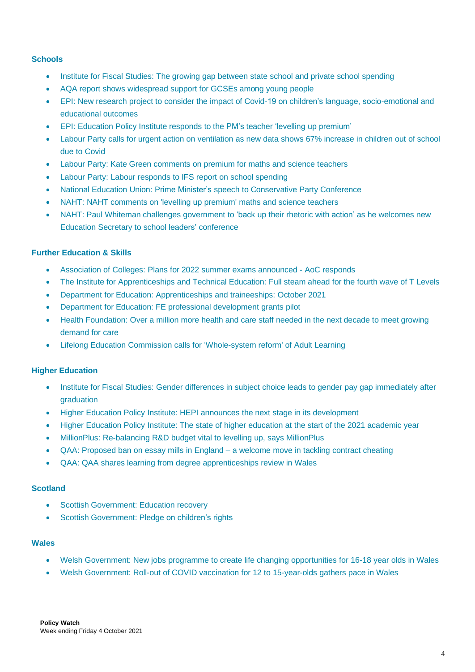#### **Schools**

- Institute for Fiscal Studies: The growing gap between state school and private school [spending](https://ifs.org.uk/publications/15672)
- AQA report shows [widespread](https://www.aqa.org.uk/news/aqa-report-shows-widespread-support-for-gcses-among-young-people) support for GCSEs among young people
- [EPI: New research project to consider the impact of Covid-19 on children's language, socio-emotional and](https://epi.org.uk/publications-and-research/pandemic-early-years/)  [educational outcomes](https://epi.org.uk/publications-and-research/pandemic-early-years/)
- EPI: [Education](https://epi.org.uk/comments/education-policy-institute-responds-to-the-pms-teacher-levelling-up-premium/) Policy Institute responds to the PM's teacher 'levelling up premium'
- Labour Party calls for urgent action on [ventilation](https://labour.org.uk/press/labour-calls-for-urgent-action-on-ventilation-as-new-data-shows-67-increase-in-children-out-of-school-due-to-covid/) as new data shows 67% increase in children out of school due to [Covid](https://labour.org.uk/press/labour-calls-for-urgent-action-on-ventilation-as-new-data-shows-67-increase-in-children-out-of-school-due-to-covid/)
- Labour Party: Kate Green [comments](https://labour.org.uk/press/kate-green-comments-on-premium-for-maths-and-science-teachers/) on premium for maths and science teachers
- Labour Party: Labour [responds](https://labour.org.uk/press/labour-responds-to-ifs-report-on-school-spending/) to IFS report on school spending
- National Education Union: Prime Minister's speech to [Conservative](https://neu.org.uk/press-releases/prime-ministers-speech-conservative-party-conference) Party Conference
- NAHT: NAHT [comments](https://www.naht.org.uk/News/Latest-comments/Press-room/ArtMID/558/ArticleID/1282/NAHT-comments-on-levelling-up-premium-maths-and-science-teachers) on 'levelling up premium' maths and science teachers
- NAHT: Paul Whiteman challenges [government](https://www.naht.org.uk/News/Latest-comments/Press-room/ArtMID/558/ArticleID/1286/Paul-Whiteman-challenges-government-to-%e2%80%98back-up-their-rhetoric-with-action%e2%80%99-as-he-welcomes-new-Education-Secretary-to-school-leaders%e2%80%99-conference) to 'back up their rhetoric with action' as he welcomes new Education Secretary to school leaders' [conference](https://www.naht.org.uk/News/Latest-comments/Press-room/ArtMID/558/ArticleID/1286/Paul-Whiteman-challenges-government-to-%e2%80%98back-up-their-rhetoric-with-action%e2%80%99-as-he-welcomes-new-Education-Secretary-to-school-leaders%e2%80%99-conference)

# **Further Education & Skills**

- [Association of Colleges: Plans for 2022 summer exams announced -](https://www.aoc.co.uk/news/plans-2022-summer-exams-announced-aoc-responds) AoC responds
- [The Institute for Apprenticeships and Technical Education: Full steam ahead for the fourth wave of T Levels](https://www.instituteforapprenticeships.org/about/newshub/news-events/full-steam-ahead-for-the-fourth-wave-of-t-levels/)
- [Department for Education: Apprenticeships and traineeships: October 2021](https://www.gov.uk/government/statistics/apprenticeships-and-traineeships-october-2021)
- [Department for Education: FE professional development grants pilot](https://www.gov.uk/government/publications/fe-professional-development-grants-pilot)
- [Health Foundation: Over a million more health and care staff needed in the next decade to meet growing](https://www.health.org.uk/news-and-comment/news/over-a-million-more-health-and-care-staff-needed-in-the-next-decade)  [demand for care](https://www.health.org.uk/news-and-comment/news/over-a-million-more-health-and-care-staff-needed-in-the-next-decade)
- [Lifelong Education Commission calls for 'Whole-system reform' of Adult Learning](https://www.lifelongeducation.uk/post/press-release-lifelong-education-commission-calls-for-whole-system-reform-of-adult-learning)

# **Higher Education**

- Institute for Fiscal Studies: Gender differences in subject choice leads to gender pay gap immediately after [graduation](https://ifs.org.uk/publications/15657)
- Higher Education Policy Institute: HEPI announces the next stage in its [development](https://www.hepi.ac.uk/2021/10/01/hepi-announces-the-next-stage-in-its-development/)
- Higher [Education](https://www.hepi.ac.uk/2021/10/08/18099/) Policy Institute: The state of higher education at the start of the 2021 academic year
- MillionPlus: [Re-balancing](https://www.millionplus.ac.uk/news/press-releases/re-balancing-rd-budget-vital-to-levelling-up-says-millionplus) R&D budget vital to levelling up, says MillionPlus
- QAA: [Proposed](https://www.qaa.ac.uk/news-events/news/proposed-ban-on-essay-mills-in-england-a-welcome-move-in-tackling-contract-cheating) ban on essay mills in England a welcome move in tackling contract cheating
- QAA: QAA shares learning from degree [apprenticeships](https://www.qaa.ac.uk/news-events/news/qaa-shares-learning-from-degree-apprenticeships-review-in-wales) review in Wales

# **Scotland**

- **[Scottish Government: Education recovery](https://www.gov.scot/news/education-recovery/)**
- [Scottish Government: Pledge on children's rights](https://www.gov.scot/news/pledge-on-childrens-rights/)

#### **Wales**

- [Welsh Government: New jobs programme to create life changing opportunities for 16-18 year olds in Wales](https://gov.wales/new-jobs-programme-create-life-changing-opportunities-16-18-year-olds-wales)
- [Welsh Government: Roll-out of COVID vaccination for 12 to 15-year-olds gathers pace in Wales](https://gov.wales/roll-out-covid-vaccination-12-15-year-olds-gathers-pace-wales)